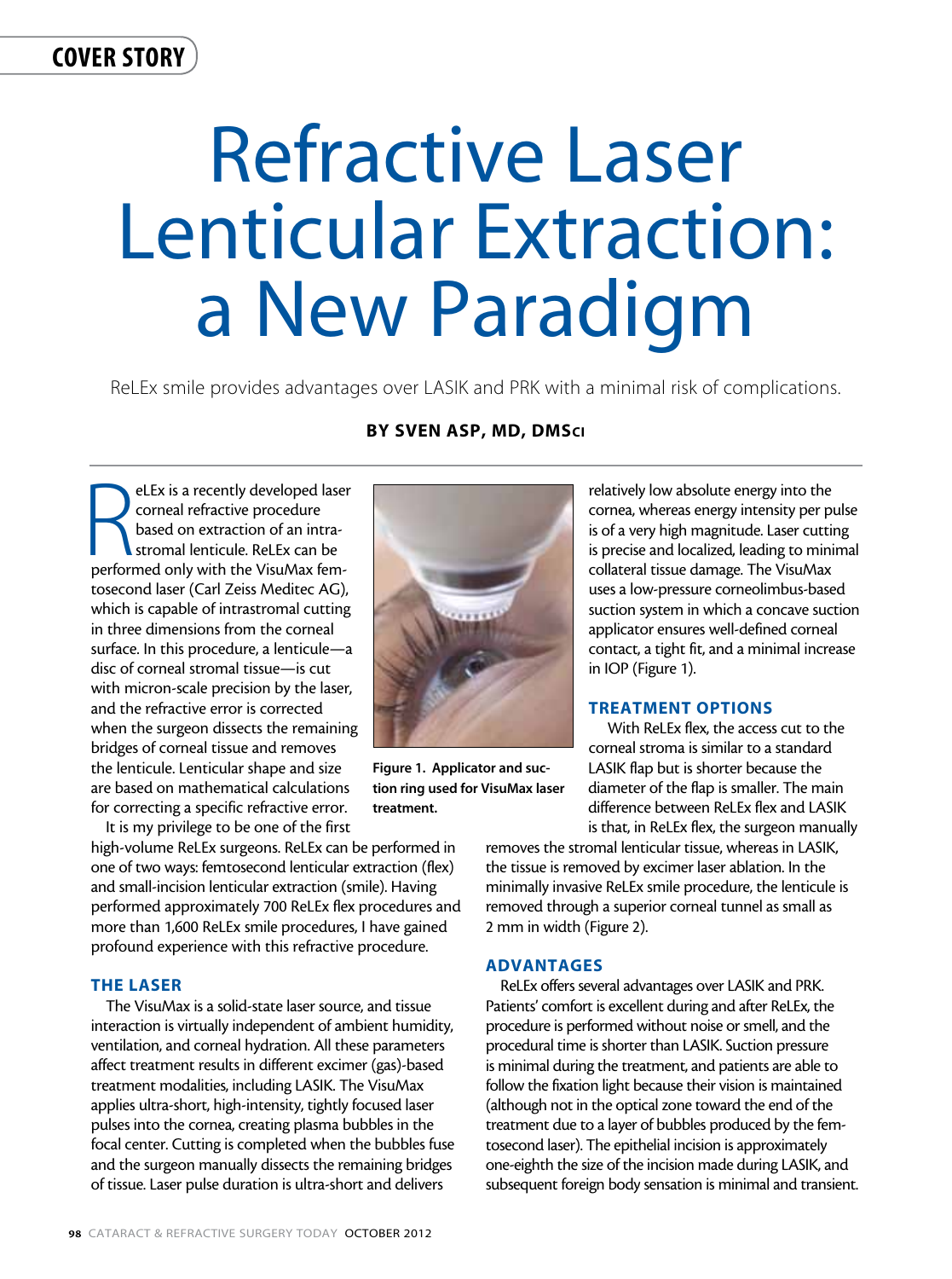# cover story

# Refractive Laser Lenticular Extraction: a New Paradigm

ReLEx smile provides advantages over LASIK and PRK with a minimal risk of complications.

# By Sven Asp, MD, DMSci

**PELEX is a recently developed lase**<br>
corneal refractive procedure<br>
based on extraction of an intra-<br>
stromal lenticule. ReLEx can be<br>
performed only with the VisuMax femeLEx is a recently developed laser corneal refractive procedure based on extraction of an intrastromal lenticule. ReLEx can be tosecond laser (Carl Zeiss Meditec AG), which is capable of intrastromal cutting in three dimensions from the corneal surface. In this procedure, a lenticule—a disc of corneal stromal tissue—is cut with micron-scale precision by the laser, and the refractive error is corrected when the surgeon dissects the remaining bridges of corneal tissue and removes the lenticule. Lenticular shape and size are based on mathematical calculations for correcting a specific refractive error.



Figure 1. Applicator and suction ring used for VisuMax laser treatment.

It is my privilege to be one of the first high-volume ReLEx surgeons. ReLEx can be performed in one of two ways: femtosecond lenticular extraction (flex) and small-incision lenticular extraction (smile). Having performed approximately 700 ReLEx flex procedures and more than 1,600 ReLEx smile procedures, I have gained profound experience with this refractive procedure.

# THE LASER

The VisuMax is a solid-state laser source, and tissue interaction is virtually independent of ambient humidity, ventilation, and corneal hydration. All these parameters affect treatment results in different excimer (gas)-based treatment modalities, including LASIK. The VisuMax applies ultra-short, high-intensity, tightly focused laser pulses into the cornea, creating plasma bubbles in the focal center. Cutting is completed when the bubbles fuse and the surgeon manually dissects the remaining bridges of tissue. Laser pulse duration is ultra-short and delivers

relatively low absolute energy into the cornea, whereas energy intensity per pulse is of a very high magnitude. Laser cutting is precise and localized, leading to minimal collateral tissue damage. The VisuMax uses a low-pressure corneolimbus-based suction system in which a concave suction applicator ensures well-defined corneal contact, a tight fit, and a minimal increase in IOP (Figure 1).

## TREATMENT OPTIONS

 With ReLEx flex, the access cut to the corneal stroma is similar to a standard LASIK flap but is shorter because the diameter of the flap is smaller. The main difference between ReLEx flex and LASIK is that, in ReLEx flex, the surgeon manually

removes the stromal lenticular tissue, whereas in LASIK, the tissue is removed by excimer laser ablation. In the minimally invasive ReLEx smile procedure, the lenticule is removed through a superior corneal tunnel as small as 2 mm in width (Figure 2).

#### ADVANTAGES

ReLEx offers several advantages over LASIK and PRK. Patients' comfort is excellent during and after ReLEx, the procedure is performed without noise or smell, and the procedural time is shorter than LASIK. Suction pressure is minimal during the treatment, and patients are able to follow the fixation light because their vision is maintained (although not in the optical zone toward the end of the treatment due to a layer of bubbles produced by the femtosecond laser). The epithelial incision is approximately one-eighth the size of the incision made during LASIK, and subsequent foreign body sensation is minimal and transient.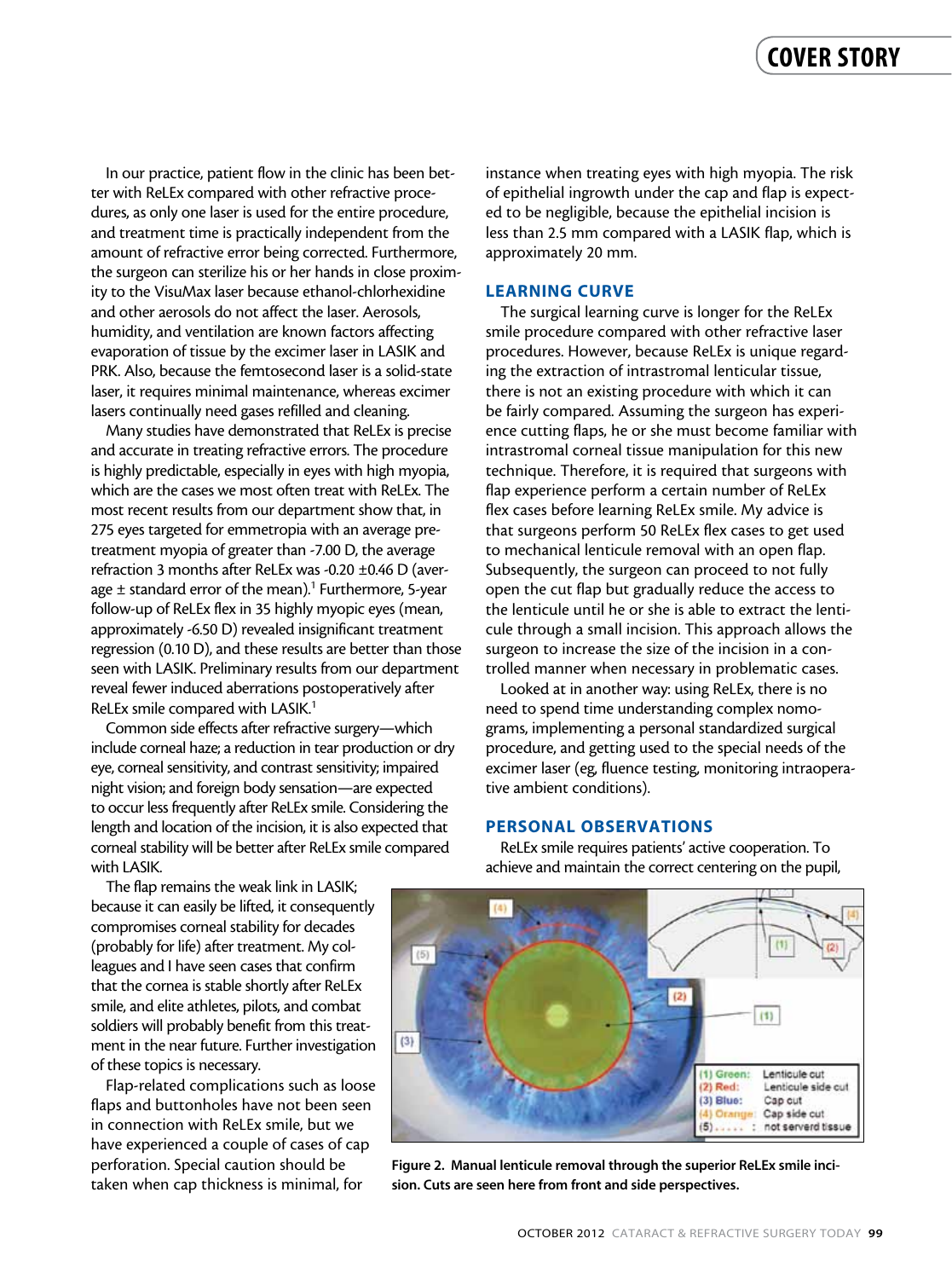In our practice, patient flow in the clinic has been better with ReLEx compared with other refractive procedures, as only one laser is used for the entire procedure, and treatment time is practically independent from the amount of refractive error being corrected. Furthermore, the surgeon can sterilize his or her hands in close proximity to the VisuMax laser because ethanol-chlorhexidine and other aerosols do not affect the laser. Aerosols, humidity, and ventilation are known factors affecting evaporation of tissue by the excimer laser in LASIK and PRK. Also, because the femtosecond laser is a solid-state laser, it requires minimal maintenance, whereas excimer lasers continually need gases refilled and cleaning.

Many studies have demonstrated that ReLEx is precise and accurate in treating refractive errors. The procedure is highly predictable, especially in eyes with high myopia, which are the cases we most often treat with ReLEx. The most recent results from our department show that, in 275 eyes targeted for emmetropia with an average pretreatment myopia of greater than -7.00 D, the average refraction 3 months after ReLEx was -0.20 ±0.46 D (average  $\pm$  standard error of the mean).<sup>1</sup> Furthermore, 5-year follow-up of ReLEx flex in 35 highly myopic eyes (mean, approximately -6.50 D) revealed insignificant treatment regression (0.10 D), and these results are better than those seen with LASIK. Preliminary results from our department reveal fewer induced aberrations postoperatively after ReLEx smile compared with LASIK.<sup>1</sup>

Common side effects after refractive surgery—which include corneal haze; a reduction in tear production or dry eye, corneal sensitivity, and contrast sensitivity; impaired night vision; and foreign body sensation—are expected to occur less frequently after ReLEx smile. Considering the length and location of the incision, it is also expected that corneal stability will be better after ReLEx smile compared with LASIK.

instance when treating eyes with high myopia. The risk of epithelial ingrowth under the cap and flap is expected to be negligible, because the epithelial incision is less than 2.5 mm compared with a LASIK flap, which is approximately 20 mm.

#### LEARNING CURVE

The surgical learning curve is longer for the ReLEx smile procedure compared with other refractive laser procedures. However, because ReLEx is unique regarding the extraction of intrastromal lenticular tissue, there is not an existing procedure with which it can be fairly compared. Assuming the surgeon has experience cutting flaps, he or she must become familiar with intrastromal corneal tissue manipulation for this new technique. Therefore, it is required that surgeons with flap experience perform a certain number of ReLEx flex cases before learning ReLEx smile. My advice is that surgeons perform 50 ReLEx flex cases to get used to mechanical lenticule removal with an open flap. Subsequently, the surgeon can proceed to not fully open the cut flap but gradually reduce the access to the lenticule until he or she is able to extract the lenticule through a small incision. This approach allows the surgeon to increase the size of the incision in a controlled manner when necessary in problematic cases.

Looked at in another way: using ReLEx, there is no need to spend time understanding complex nomograms, implementing a personal standardized surgical procedure, and getting used to the special needs of the excimer laser (eg, fluence testing, monitoring intraoperative ambient conditions).

#### PERSONAL OBSERVATIONS

The flap remains the weak link in LASIK; because it can easily be lifted, it consequently compromises corneal stability for decades (probably for life) after treatment. My colleagues and I have seen cases that confirm that the cornea is stable shortly after ReLEx smile, and elite athletes, pilots, and combat soldiers will probably benefit from this treatment in the near future. Further investigation of these topics is necessary.

Flap-related complications such as loose flaps and buttonholes have not been seen in connection with ReLEx smile, but we have experienced a couple of cases of cap perforation. Special caution should be taken when cap thickness is minimal, for

ReLEx smile requires patients' active cooperation. To achieve and maintain the correct centering on the pupil,



Figure 2. Manual lenticule removal through the superior ReLEx smile incision. Cuts are seen here from front and side perspectives.